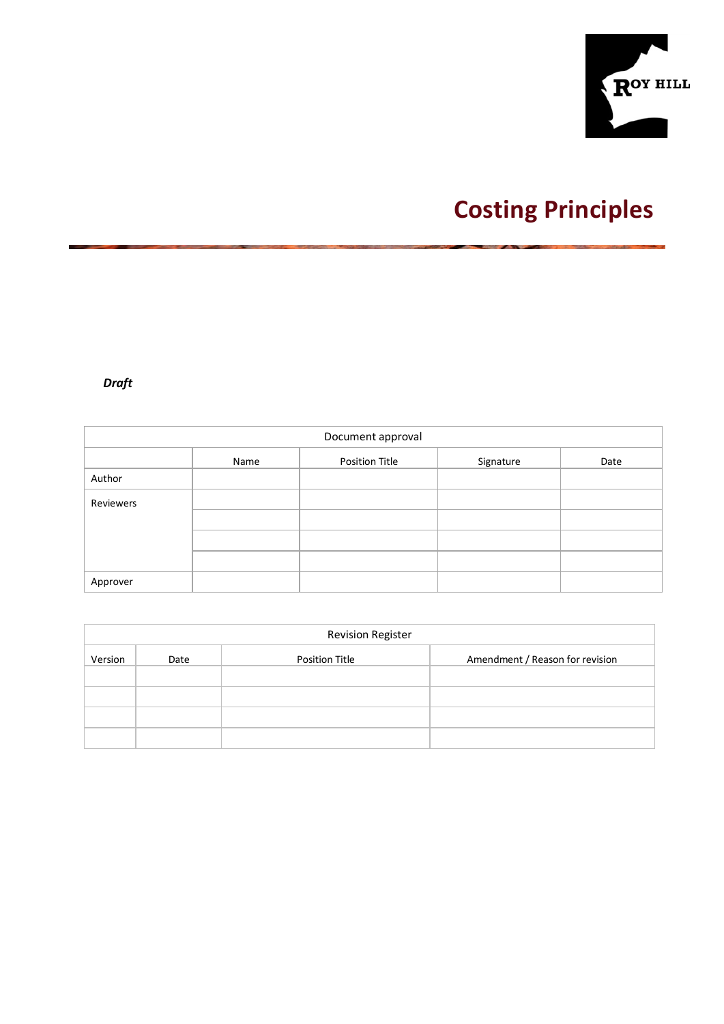

# **Costing Principles**

# *Draft*

| Document approval |      |                       |           |      |  |  |
|-------------------|------|-----------------------|-----------|------|--|--|
|                   | Name | <b>Position Title</b> | Signature | Date |  |  |
| Author            |      |                       |           |      |  |  |
| Reviewers         |      |                       |           |      |  |  |
|                   |      |                       |           |      |  |  |
|                   |      |                       |           |      |  |  |
|                   |      |                       |           |      |  |  |
| Approver          |      |                       |           |      |  |  |

|         | <b>Revision Register</b> |                       |                                 |  |  |  |
|---------|--------------------------|-----------------------|---------------------------------|--|--|--|
| Version | Date                     | <b>Position Title</b> | Amendment / Reason for revision |  |  |  |
|         |                          |                       |                                 |  |  |  |
|         |                          |                       |                                 |  |  |  |
|         |                          |                       |                                 |  |  |  |
|         |                          |                       |                                 |  |  |  |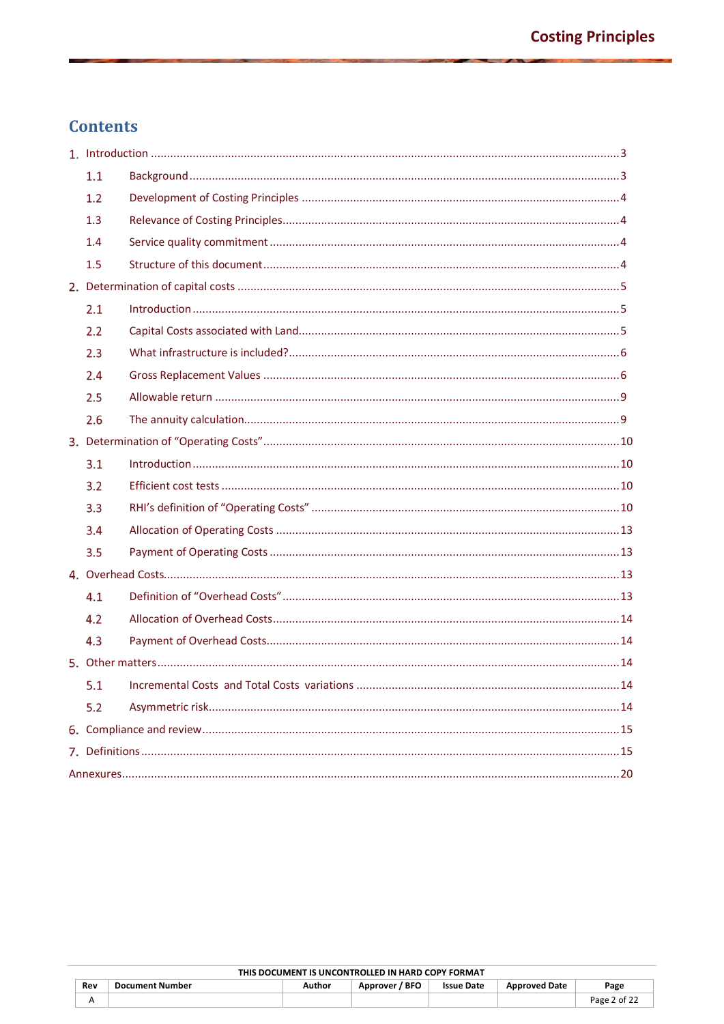# **Contents**

| 1.1 |  |
|-----|--|
| 1.2 |  |
| 1.3 |  |
| 1.4 |  |
| 1.5 |  |
|     |  |
| 2.1 |  |
| 2.2 |  |
| 2.3 |  |
| 2.4 |  |
| 2.5 |  |
| 2.6 |  |
|     |  |
| 3.1 |  |
| 3.2 |  |
| 3.3 |  |
| 3.4 |  |
| 3.5 |  |
|     |  |
| 4.1 |  |
| 4.2 |  |
| 4.3 |  |
|     |  |
| 5.1 |  |
| 5.2 |  |
|     |  |
|     |  |
|     |  |

| THIS DOCUMENT IS UNCONTROLLED IN HARD COPY FORMAT |                                                                                                              |  |  |  |  |              |
|---------------------------------------------------|--------------------------------------------------------------------------------------------------------------|--|--|--|--|--------------|
| Rev                                               | ' BFO<br><b>Document Number</b><br><b>Issue Date</b><br><b>Approved Date</b><br>Author<br>Page<br>Approver / |  |  |  |  |              |
|                                                   |                                                                                                              |  |  |  |  | Page 2 of 22 |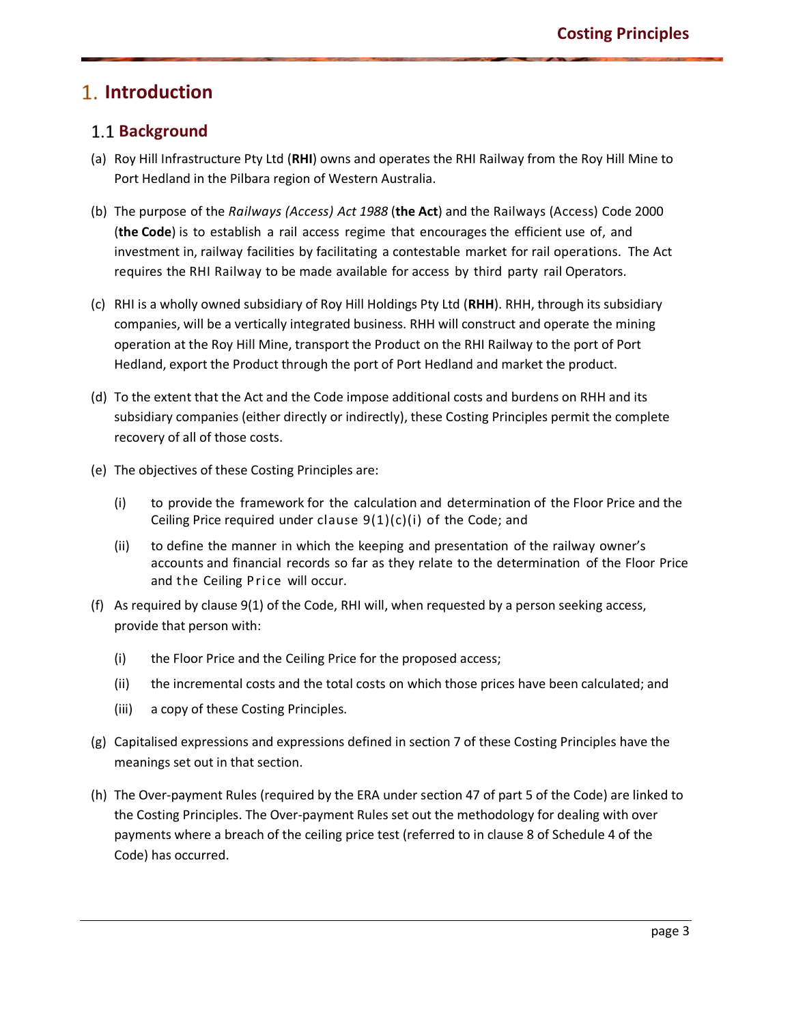# **Introduction**

### **Background**

- <span id="page-2-0"></span>(a) Roy Hill Infrastructure Pty Ltd (**RHI**) owns and operates the RHI Railway from the Roy Hill Mine to Port Hedland in the Pilbara region of Western Australia.
- <span id="page-2-1"></span>(b) The purpose of the *Railways (Access) Act 1988* (**the Act**) and the Railways (Access) Code 2000 (**the Code**) is to establish a rail access regime that encourages the efficient use of, and investment in, railway facilities by facilitating a contestable market for rail operations. The Act requires the RHI Railway to be made available for access by third party rail Operators.
- (c) RHI is a wholly owned subsidiary of Roy Hill Holdings Pty Ltd (**RHH**). RHH, through its subsidiary companies, will be a vertically integrated business. RHH will construct and operate the mining operation at the Roy Hill Mine, transport the Product on the RHI Railway to the port of Port Hedland, export the Product through the port of Port Hedland and market the product.
- (d) To the extent that the Act and the Code impose additional costs and burdens on RHH and its subsidiary companies (either directly or indirectly), these Costing Principles permit the complete recovery of all of those costs.
- (e) The objectives of these Costing Principles are:
	- (i) to provide the framework for the calculation and determination of the Floor Price and the Ceiling Price required under clause  $9(1)(c)(i)$  of the Code; and
	- (ii) to define the manner in which the keeping and presentation of the railway owner's accounts and financial records so far as they relate to the determination of the Floor Price and the Ceiling Price will occur.
- (f) As required by clause 9(1) of the Code, RHI will, when requested by a person seeking access, provide that person with:
	- (i) the Floor Price and the Ceiling Price for the proposed access;
	- (ii) the incremental costs and the total costs on which those prices have been calculated; and
	- (iii) a copy of these Costing Principles.
- (g) Capitalised expressions and expressions defined in section 7 of these Costing Principles have the meanings set out in that section.
- (h) The Over-payment Rules (required by the ERA under section 47 of part 5 of the Code) are linked to the Costing Principles. The Over-payment Rules set out the methodology for dealing with over payments where a breach of the ceiling price test (referred to in clause 8 of Schedule 4 of the Code) has occurred.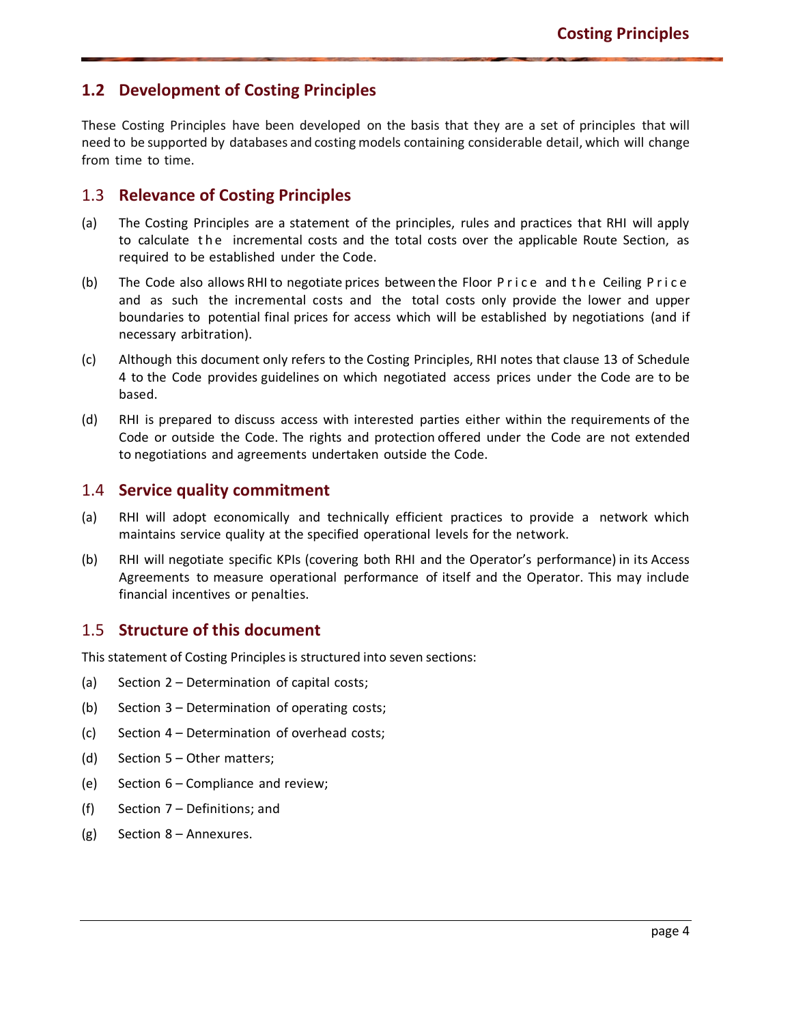### **1.2 Development of Costing Principles**

<span id="page-3-0"></span>These Costing Principles have been developed on the basis that they are a set of principles that will need to be supported by databases and costing models containing considerable detail, which will change from time to time.

#### 1.3 **Relevance of Costing Principles**

- <span id="page-3-1"></span>(a) The Costing Principles are a statement of the principles, rules and practices that RHI will apply to calculate the incremental costs and the total costs over the applicable Route Section, as required to be established under the Code.
- (b) The Code also allows RHI to negotiate prices between the Floor Price and the Ceiling Price and as such the incremental costs and the total costs only provide the lower and upper boundaries to potential final prices for access which will be established by negotiations (and if necessary arbitration).
- (c) Although this document only refers to the Costing Principles, RHI notes that clause 13 of Schedule 4 to the Code provides guidelines on which negotiated access prices under the Code are to be based.
- (d) RHI is prepared to discuss access with interested parties either within the requirements of the Code or outside the Code. The rights and protection offered under the Code are not extended to negotiations and agreements undertaken outside the Code.

#### 1.4 **Service quality commitment**

- (a) RHI will adopt economically and technically efficient practices to provide a network which maintains service quality at the specified operational levels for the network.
- <span id="page-3-2"></span>(b) RHI will negotiate specific KPIs (covering both RHI and the Operator's performance) in its Access Agreements to measure operational performance of itself and the Operator. This may include financial incentives or penalties.

#### 1.5 **Structure of this document**

This statement of Costing Principles is structured into seven sections:

- <span id="page-3-3"></span>(a) Section 2 – Determination of capital costs;
- (b) Section 3 Determination of operating costs;
- (c) Section 4 Determination of overhead costs;
- (d) Section 5 Other matters;
- (e) Section 6 Compliance and review;
- (f) Section 7 Definitions; and
- (g) Section 8 Annexures.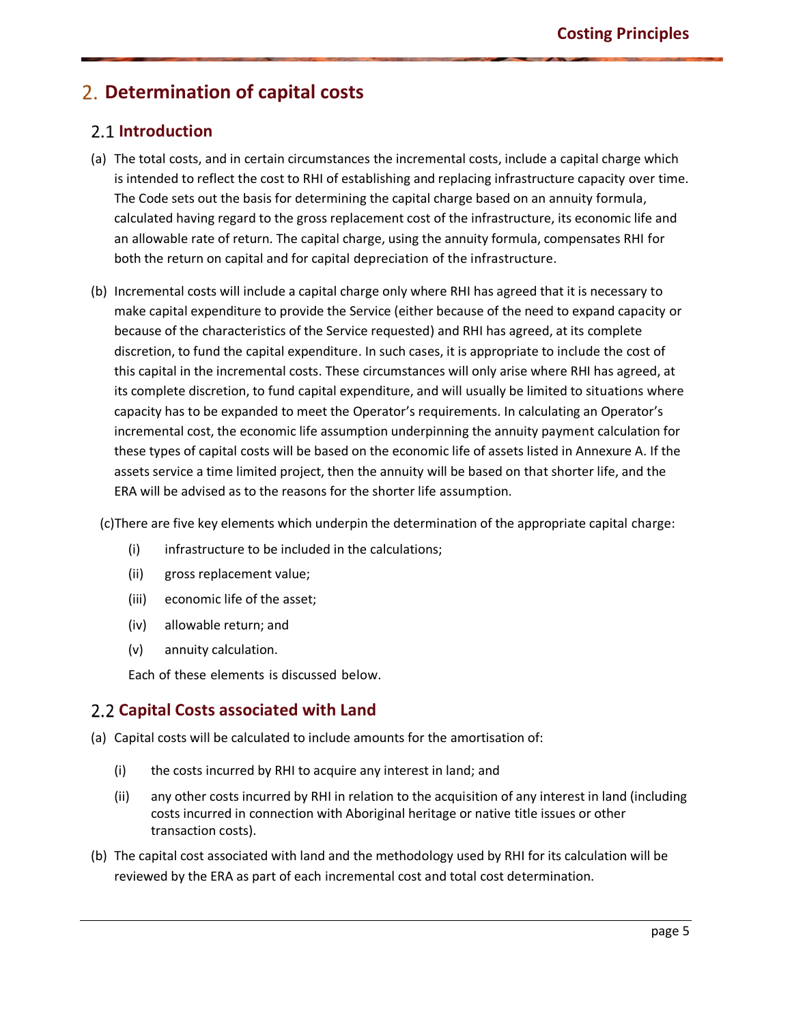# **Determination of capital costs**

### **Introduction**

- <span id="page-4-1"></span><span id="page-4-0"></span>(a) The total costs, and in certain circumstances the incremental costs, include a capital charge which is intended to reflect the cost to RHI of establishing and replacing infrastructure capacity over time. The Code sets out the basis for determining the capital charge based on an annuity formula, calculated having regard to the gross replacement cost of the infrastructure, its economic life and an allowable rate of return. The capital charge, using the annuity formula, compensates RHI for both the return on capital and for capital depreciation of the infrastructure.
- (b) Incremental costs will include a capital charge only where RHI has agreed that it is necessary to make capital expenditure to provide the Service (either because of the need to expand capacity or because of the characteristics of the Service requested) and RHI has agreed, at its complete discretion, to fund the capital expenditure. In such cases, it is appropriate to include the cost of this capital in the incremental costs. These circumstances will only arise where RHI has agreed, at its complete discretion, to fund capital expenditure, and will usually be limited to situations where capacity has to be expanded to meet the Operator's requirements. In calculating an Operator's incremental cost, the economic life assumption underpinning the annuity payment calculation for these types of capital costs will be based on the economic life of assets listed in Annexure A. If the assets service a time limited project, then the annuity will be based on that shorter life, and the ERA will be advised as to the reasons for the shorter life assumption.

(c)There are five key elements which underpin the determination of the appropriate capital charge:

- (i) infrastructure to be included in the calculations;
- (ii) gross replacement value;
- (iii) economic life of the asset;
- (iv) allowable return; and
- (v) annuity calculation.

Each of these elements is discussed below.

### **Capital Costs associated with Land**

- <span id="page-4-2"></span>(a) Capital costs will be calculated to include amounts for the amortisation of:
	- (i) the costs incurred by RHI to acquire any interest in land; and
	- (ii) any other costs incurred by RHI in relation to the acquisition of any interest in land (including costs incurred in connection with Aboriginal heritage or native title issues or other transaction costs).
- (b) The capital cost associated with land and the methodology used by RHI for its calculation will be reviewed by the ERA as part of each incremental cost and total cost determination.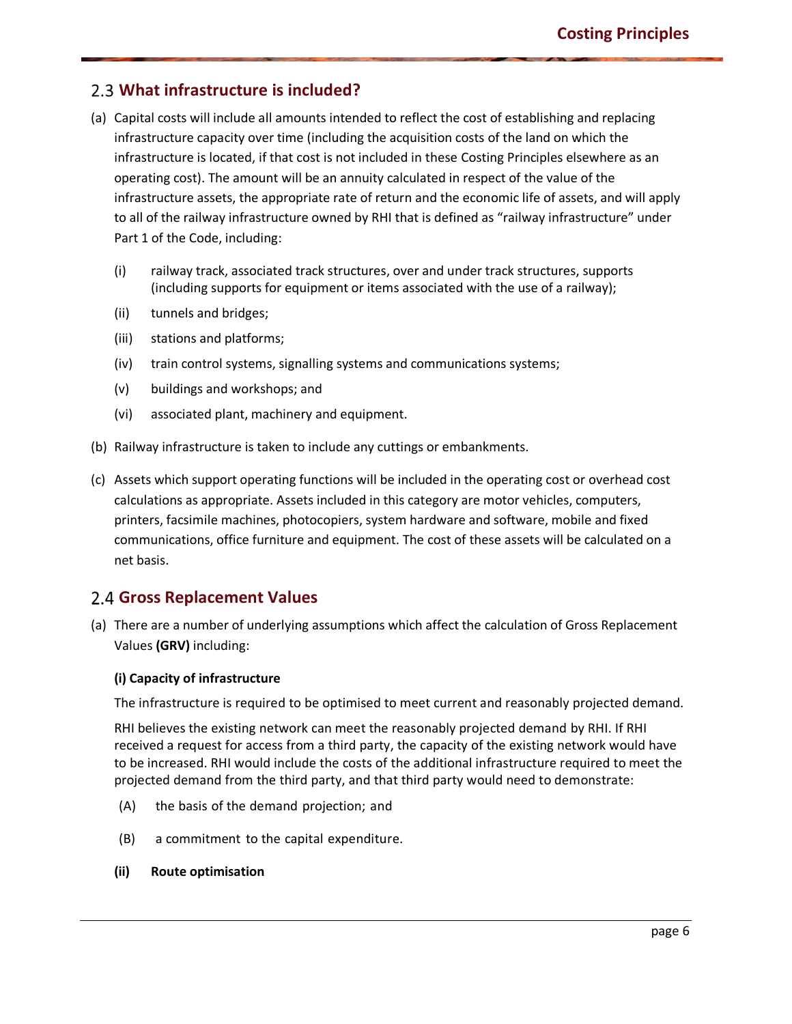### **What infrastructure is included?**

- <span id="page-5-0"></span>(a) Capital costs will include all amounts intended to reflect the cost of establishing and replacing infrastructure capacity over time (including the acquisition costs of the land on which the infrastructure is located, if that cost is not included in these Costing Principles elsewhere as an operating cost). The amount will be an annuity calculated in respect of the value of the infrastructure assets, the appropriate rate of return and the economic life of assets, and will apply to all of the railway infrastructure owned by RHI that is defined as "railway infrastructure" under Part 1 of the Code, including:
	- (i) railway track, associated track structures, over and under track structures, supports (including supports for equipment or items associated with the use of a railway);
	- (ii) tunnels and bridges;
	- (iii) stations and platforms;
	- (iv) train control systems, signalling systems and communications systems;
	- (v) buildings and workshops; and
	- (vi) associated plant, machinery and equipment.
- (b) Railway infrastructure is taken to include any cuttings or embankments.
- (c) Assets which support operating functions will be included in the operating cost or overhead cost calculations as appropriate. Assets included in this category are motor vehicles, computers, printers, facsimile machines, photocopiers, system hardware and software, mobile and fixed communications, office furniture and equipment. The cost of these assets will be calculated on a net basis.

### **Gross Replacement Values**

<span id="page-5-1"></span>(a) There are a number of underlying assumptions which affect the calculation of Gross Replacement Values **(GRV)** including:

#### **(i) Capacity of infrastructure**

The infrastructure is required to be optimised to meet current and reasonably projected demand.

RHI believes the existing network can meet the reasonably projected demand by RHI. If RHI received a request for access from a third party, the capacity of the existing network would have to be increased. RHI would include the costs of the additional infrastructure required to meet the projected demand from the third party, and that third party would need to demonstrate:

- (A) the basis of the demand projection; and
- (B) a commitment to the capital expenditure.
- **(ii) Route optimisation**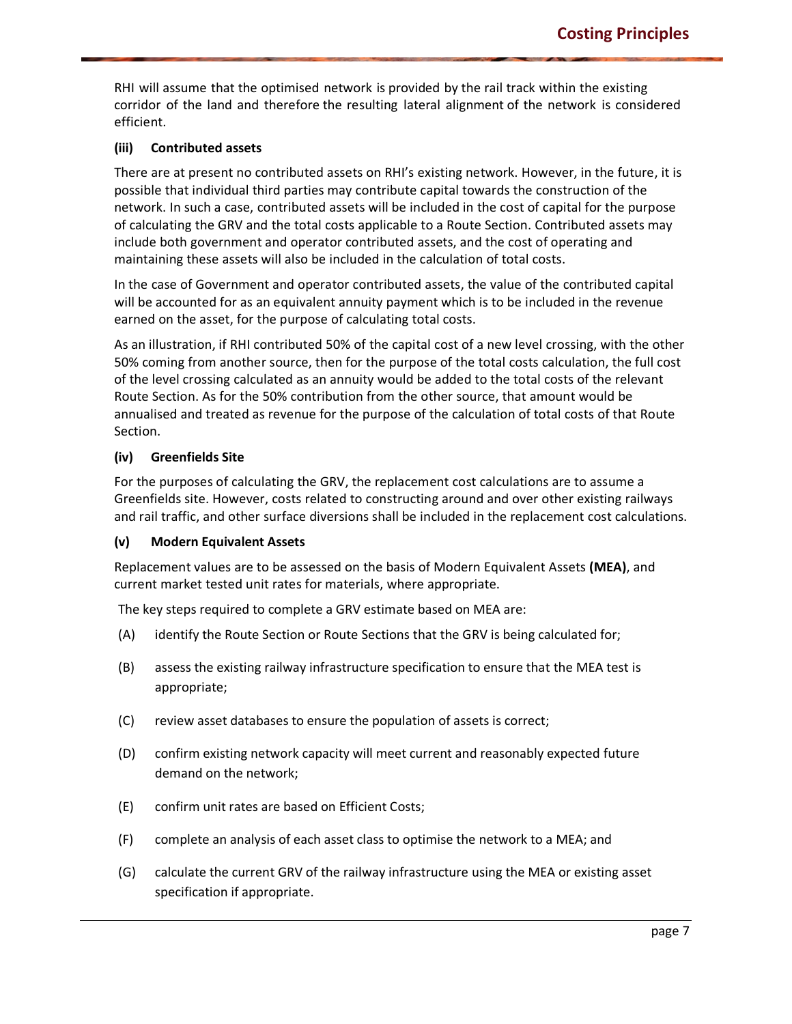RHI will assume that the optimised network is provided by the rail track within the existing corridor of the land and therefore the resulting lateral alignment of the network is considered efficient.

#### **(iii) Contributed assets**

There are at present no contributed assets on RHI's existing network. However, in the future, it is possible that individual third parties may contribute capital towards the construction of the network. In such a case, contributed assets will be included in the cost of capital for the purpose of calculating the GRV and the total costs applicable to a Route Section. Contributed assets may include both government and operator contributed assets, and the cost of operating and maintaining these assets will also be included in the calculation of total costs.

In the case of Government and operator contributed assets, the value of the contributed capital will be accounted for as an equivalent annuity payment which is to be included in the revenue earned on the asset, for the purpose of calculating total costs.

As an illustration, if RHI contributed 50% of the capital cost of a new level crossing, with the other 50% coming from another source, then for the purpose of the total costs calculation, the full cost of the level crossing calculated as an annuity would be added to the total costs of the relevant Route Section. As for the 50% contribution from the other source, that amount would be annualised and treated as revenue for the purpose of the calculation of total costs of that Route Section.

#### **(iv) Greenfields Site**

For the purposes of calculating the GRV, the replacement cost calculations are to assume a Greenfields site. However, costs related to constructing around and over other existing railways and rail traffic, and other surface diversions shall be included in the replacement cost calculations.

#### **(v) Modern Equivalent Assets**

Replacement values are to be assessed on the basis of Modern Equivalent Assets **(MEA)**, and current market tested unit rates for materials, where appropriate.

The key steps required to complete a GRV estimate based on MEA are:

- (A) identify the Route Section or Route Sections that the GRV is being calculated for;
- (B) assess the existing railway infrastructure specification to ensure that the MEA test is appropriate;
- (C) review asset databases to ensure the population of assets is correct;
- (D) confirm existing network capacity will meet current and reasonably expected future demand on the network;
- (E) confirm unit rates are based on Efficient Costs;
- (F) complete an analysis of each asset class to optimise the network to a MEA; and
- (G) calculate the current GRV of the railway infrastructure using the MEA or existing asset specification if appropriate.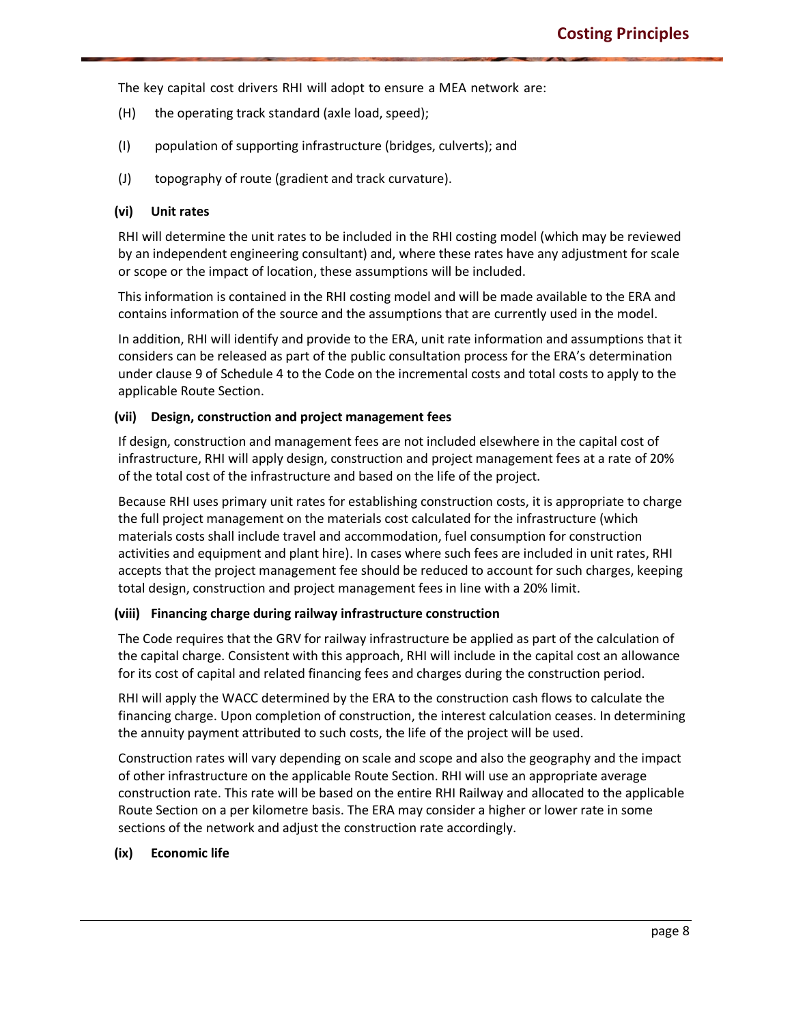The key capital cost drivers RHI will adopt to ensure a MEA network are:

- (H) the operating track standard (axle load, speed);
- (I) population of supporting infrastructure (bridges, culverts); and
- (J) topography of route (gradient and track curvature).

#### **(vi) Unit rates**

RHI will determine the unit rates to be included in the RHI costing model (which may be reviewed by an independent engineering consultant) and, where these rates have any adjustment for scale or scope or the impact of location, these assumptions will be included.

This information is contained in the RHI costing model and will be made available to the ERA and contains information of the source and the assumptions that are currently used in the model.

In addition, RHI will identify and provide to the ERA, unit rate information and assumptions that it considers can be released as part of the public consultation process for the ERA's determination under clause 9 of Schedule 4 to the Code on the incremental costs and total costs to apply to the applicable Route Section.

#### **(vii) Design, construction and project management fees**

If design, construction and management fees are not included elsewhere in the capital cost of infrastructure, RHI will apply design, construction and project management fees at a rate of 20% of the total cost of the infrastructure and based on the life of the project.

Because RHI uses primary unit rates for establishing construction costs, it is appropriate to charge the full project management on the materials cost calculated for the infrastructure (which materials costs shall include travel and accommodation, fuel consumption for construction activities and equipment and plant hire). In cases where such fees are included in unit rates, RHI accepts that the project management fee should be reduced to account for such charges, keeping total design, construction and project management fees in line with a 20% limit.

#### **(viii) Financing charge during railway infrastructure construction**

The Code requires that the GRV for railway infrastructure be applied as part of the calculation of the capital charge. Consistent with this approach, RHI will include in the capital cost an allowance for its cost of capital and related financing fees and charges during the construction period.

RHI will apply the WACC determined by the ERA to the construction cash flows to calculate the financing charge. Upon completion of construction, the interest calculation ceases. In determining the annuity payment attributed to such costs, the life of the project will be used.

Construction rates will vary depending on scale and scope and also the geography and the impact of other infrastructure on the applicable Route Section. RHI will use an appropriate average construction rate. This rate will be based on the entire RHI Railway and allocated to the applicable Route Section on a per kilometre basis. The ERA may consider a higher or lower rate in some sections of the network and adjust the construction rate accordingly.

#### **(ix) Economic life**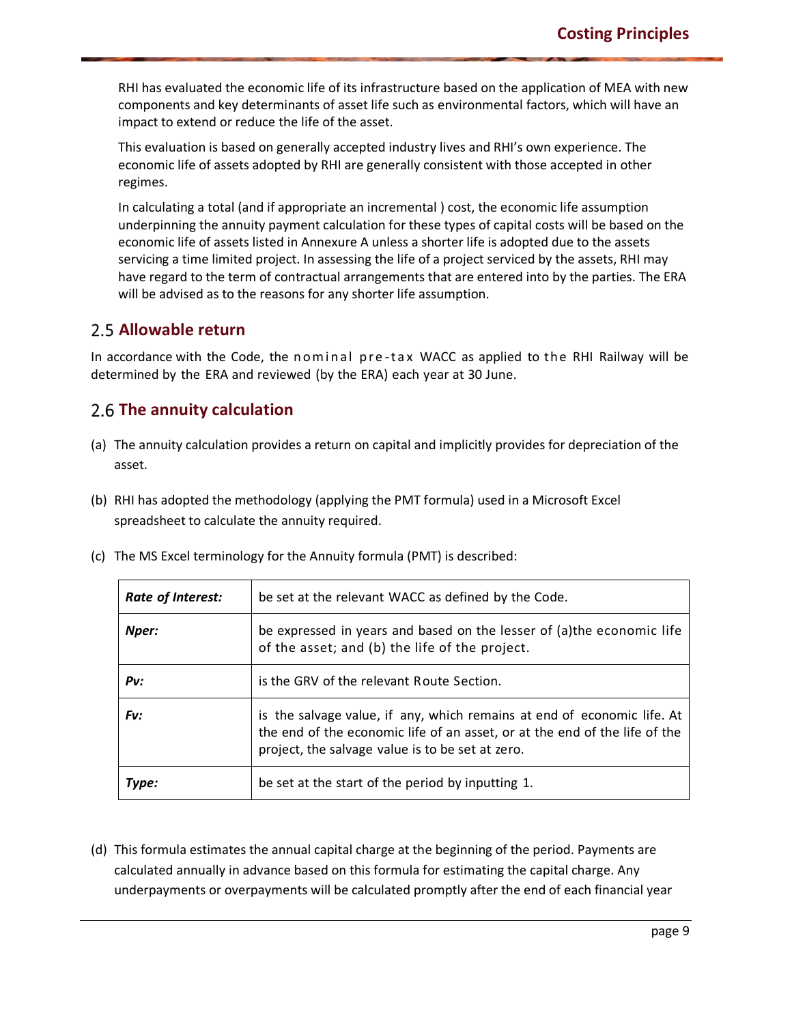RHI has evaluated the economic life of its infrastructure based on the application of MEA with new components and key determinants of asset life such as environmental factors, which will have an impact to extend or reduce the life of the asset.

This evaluation is based on generally accepted industry lives and RHI's own experience. The economic life of assets adopted by RHI are generally consistent with those accepted in other regimes.

In calculating a total (and if appropriate an incremental ) cost, the economic life assumption underpinning the annuity payment calculation for these types of capital costs will be based on the economic life of assets listed in Annexure A unless a shorter life is adopted due to the assets servicing a time limited project. In assessing the life of a project serviced by the assets, RHI may have regard to the term of contractual arrangements that are entered into by the parties. The ERA will be advised as to the reasons for any shorter life assumption.

### **Allowable return**

In accordance with the Code, the nominal pre-tax WACC as applied to the RHI Railway will be determined by the ERA and reviewed (by the ERA) each year at 30 June.

### <span id="page-8-0"></span>**The annuity calculation**

- <span id="page-8-1"></span>(a) The annuity calculation provides a return on capital and implicitly provides for depreciation of the asset.
- (b) RHI has adopted the methodology (applying the PMT formula) used in a Microsoft Excel spreadsheet to calculate the annuity required.
- (c) The MS Excel terminology for the Annuity formula (PMT) is described:

| Rate of Interest: | be set at the relevant WACC as defined by the Code.                                                                                                                                                       |
|-------------------|-----------------------------------------------------------------------------------------------------------------------------------------------------------------------------------------------------------|
| Nper:             | be expressed in years and based on the lesser of (a) the economic life<br>of the asset; and (b) the life of the project.                                                                                  |
| $P_{V}$ :         | is the GRV of the relevant Route Section.                                                                                                                                                                 |
| Fv:               | is the salvage value, if any, which remains at end of economic life. At<br>the end of the economic life of an asset, or at the end of the life of the<br>project, the salvage value is to be set at zero. |
| Type:             | be set at the start of the period by inputting 1.                                                                                                                                                         |

(d) This formula estimates the annual capital charge at the beginning of the period. Payments are calculated annually in advance based on this formula for estimating the capital charge. Any underpayments or overpayments will be calculated promptly after the end of each financial year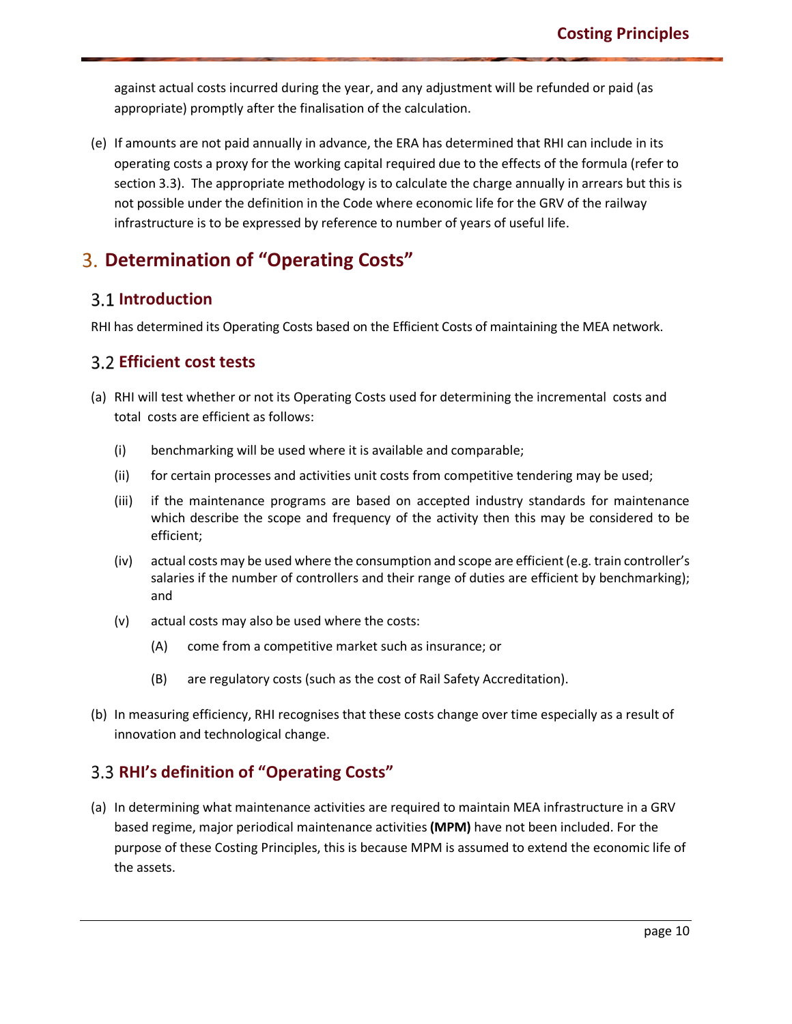against actual costs incurred during the year, and any adjustment will be refunded or paid (as appropriate) promptly after the finalisation of the calculation.

(e) If amounts are not paid annually in advance, the ERA has determined that RHI can include in its operating costs a proxy for the working capital required due to the effects of the formula (refer to section 3.3). The appropriate methodology is to calculate the charge annually in arrears but this is not possible under the definition in the Code where economic life for the GRV of the railway infrastructure is to be expressed by reference to number of years of useful life.

# **Determination of "Operating Costs"**

### **Introduction**

<span id="page-9-0"></span>RHI has determined its Operating Costs based on the Efficient Costs of maintaining the MEA network.

### <span id="page-9-1"></span>**Efficient cost tests**

- <span id="page-9-2"></span>(a) RHI will test whether or not its Operating Costs used for determining the incremental costs and total costs are efficient as follows:
	- (i) benchmarking will be used where it is available and comparable;
	- (ii) for certain processes and activities unit costs from competitive tendering may be used;
	- (iii) if the maintenance programs are based on accepted industry standards for maintenance which describe the scope and frequency of the activity then this may be considered to be efficient;
	- (iv) actual costs may be used where the consumption and scope are efficient (e.g. train controller's salaries if the number of controllers and their range of duties are efficient by benchmarking); and
	- (v) actual costs may also be used where the costs:
		- (A) come from a competitive market such as insurance; or
		- (B) are regulatory costs (such as the cost of Rail Safety Accreditation).
- (b) In measuring efficiency, RHI recognises that these costs change over time especially as a result of innovation and technological change.

### **RHI's definition of "Operating Costs"**

<span id="page-9-3"></span>(a) In determining what maintenance activities are required to maintain MEA infrastructure in a GRV based regime, major periodical maintenance activities **(MPM)** have not been included. For the purpose of these Costing Principles, this is because MPM is assumed to extend the economic life of the assets.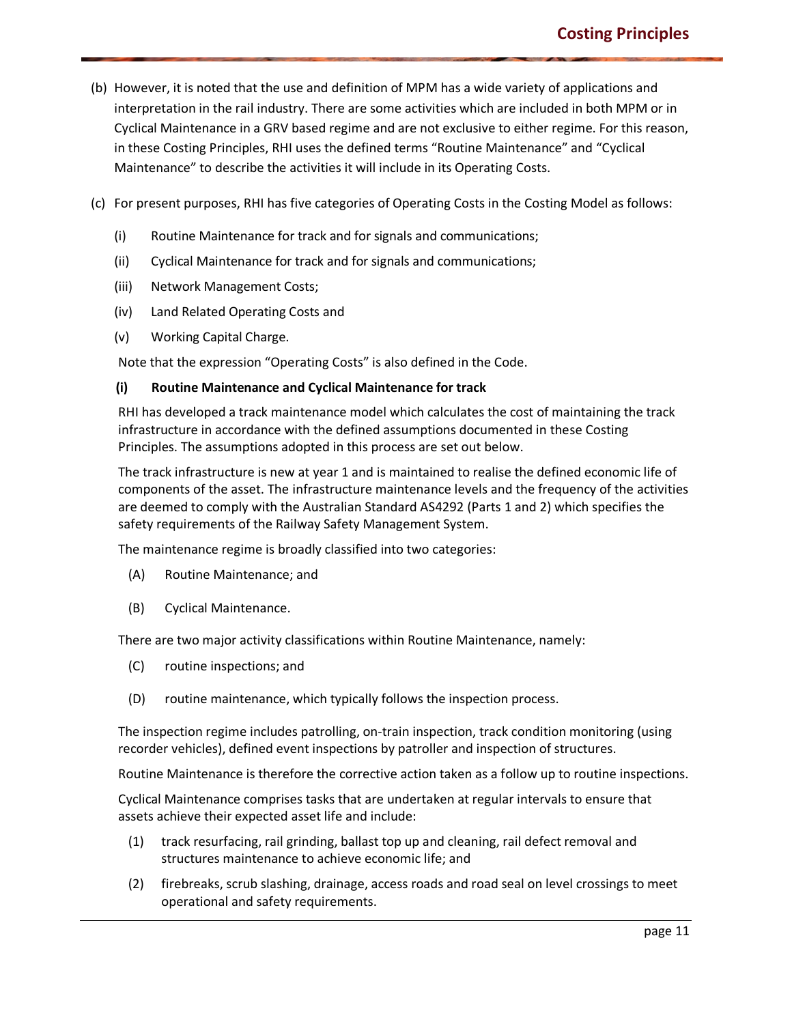- (b) However, it is noted that the use and definition of MPM has a wide variety of applications and interpretation in the rail industry. There are some activities which are included in both MPM or in Cyclical Maintenance in a GRV based regime and are not exclusive to either regime. For this reason, in these Costing Principles, RHI uses the defined terms "Routine Maintenance" and "Cyclical Maintenance" to describe the activities it will include in its Operating Costs.
- (c) For present purposes, RHI has five categories of Operating Costs in the Costing Model as follows:
	- (i) Routine Maintenance for track and for signals and communications;
	- (ii) Cyclical Maintenance for track and for signals and communications;
	- (iii) Network Management Costs;
	- (iv) Land Related Operating Costs and
	- (v) Working Capital Charge.

Note that the expression "Operating Costs" is also defined in the Code.

#### **(i) Routine Maintenance and Cyclical Maintenance for track**

RHI has developed a track maintenance model which calculates the cost of maintaining the track infrastructure in accordance with the defined assumptions documented in these Costing Principles. The assumptions adopted in this process are set out below.

The track infrastructure is new at year 1 and is maintained to realise the defined economic life of components of the asset. The infrastructure maintenance levels and the frequency of the activities are deemed to comply with the Australian Standard AS4292 (Parts 1 and 2) which specifies the safety requirements of the Railway Safety Management System.

The maintenance regime is broadly classified into two categories:

- (A) Routine Maintenance; and
- (B) Cyclical Maintenance.

There are two major activity classifications within Routine Maintenance, namely:

- (C) routine inspections; and
- (D) routine maintenance, which typically follows the inspection process.

The inspection regime includes patrolling, on-train inspection, track condition monitoring (using recorder vehicles), defined event inspections by patroller and inspection of structures.

Routine Maintenance is therefore the corrective action taken as a follow up to routine inspections.

Cyclical Maintenance comprises tasks that are undertaken at regular intervals to ensure that assets achieve their expected asset life and include:

- (1) track resurfacing, rail grinding, ballast top up and cleaning, rail defect removal and structures maintenance to achieve economic life; and
- (2) firebreaks, scrub slashing, drainage, access roads and road seal on level crossings to meet operational and safety requirements.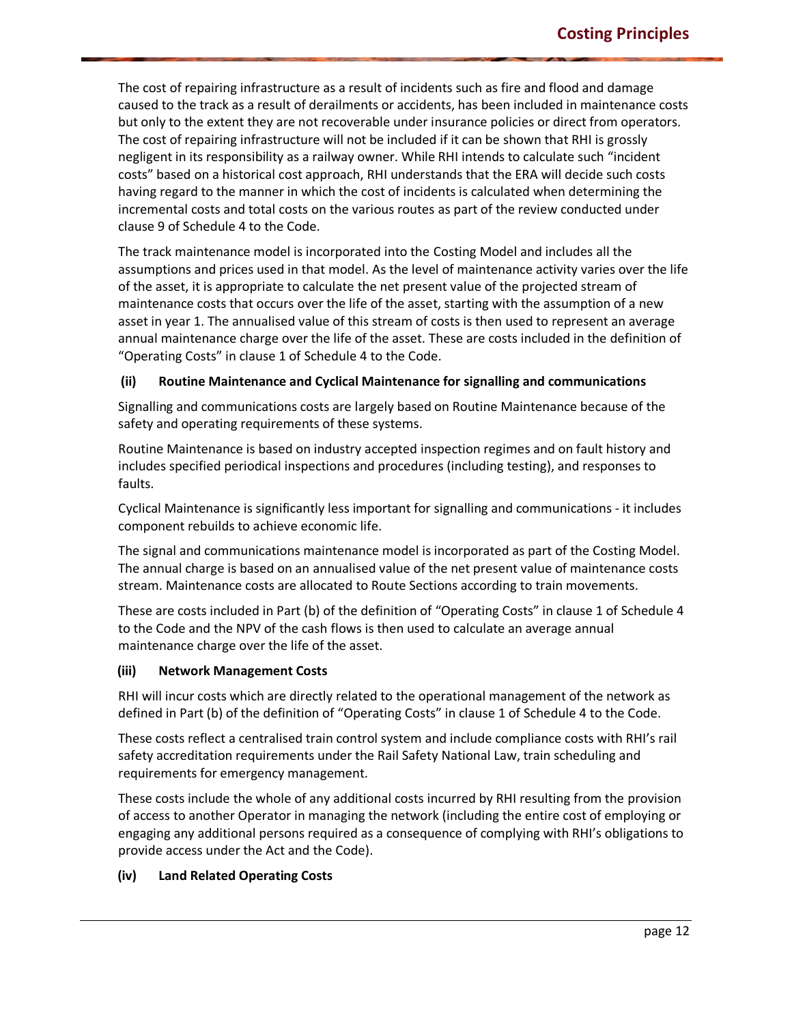The cost of repairing infrastructure as a result of incidents such as fire and flood and damage caused to the track as a result of derailments or accidents, has been included in maintenance costs but only to the extent they are not recoverable under insurance policies or direct from operators. The cost of repairing infrastructure will not be included if it can be shown that RHI is grossly negligent in its responsibility as a railway owner. While RHI intends to calculate such "incident costs" based on a historical cost approach, RHI understands that the ERA will decide such costs having regard to the manner in which the cost of incidents is calculated when determining the incremental costs and total costs on the various routes as part of the review conducted under clause 9 of Schedule 4 to the Code.

The track maintenance model is incorporated into the Costing Model and includes all the assumptions and prices used in that model. As the level of maintenance activity varies over the life of the asset, it is appropriate to calculate the net present value of the projected stream of maintenance costs that occurs over the life of the asset, starting with the assumption of a new asset in year 1. The annualised value of this stream of costs is then used to represent an average annual maintenance charge over the life of the asset. These are costs included in the definition of "Operating Costs" in clause 1 of Schedule 4 to the Code.

#### **(ii) Routine Maintenance and Cyclical Maintenance for signalling and communications**

Signalling and communications costs are largely based on Routine Maintenance because of the safety and operating requirements of these systems.

Routine Maintenance is based on industry accepted inspection regimes and on fault history and includes specified periodical inspections and procedures (including testing), and responses to faults.

Cyclical Maintenance is significantly less important for signalling and communications - it includes component rebuilds to achieve economic life.

The signal and communications maintenance model is incorporated as part of the Costing Model. The annual charge is based on an annualised value of the net present value of maintenance costs stream. Maintenance costs are allocated to Route Sections according to train movements.

These are costs included in Part (b) of the definition of "Operating Costs" in clause 1 of Schedule 4 to the Code and the NPV of the cash flows is then used to calculate an average annual maintenance charge over the life of the asset.

#### **(iii) Network Management Costs**

RHI will incur costs which are directly related to the operational management of the network as defined in Part (b) of the definition of "Operating Costs" in clause 1 of Schedule 4 to the Code.

These costs reflect a centralised train control system and include compliance costs with RHI's rail safety accreditation requirements under the Rail Safety National Law, train scheduling and requirements for emergency management.

These costs include the whole of any additional costs incurred by RHI resulting from the provision of access to another Operator in managing the network (including the entire cost of employing or engaging any additional persons required as a consequence of complying with RHI's obligations to provide access under the Act and the Code).

#### **(iv) Land Related Operating Costs**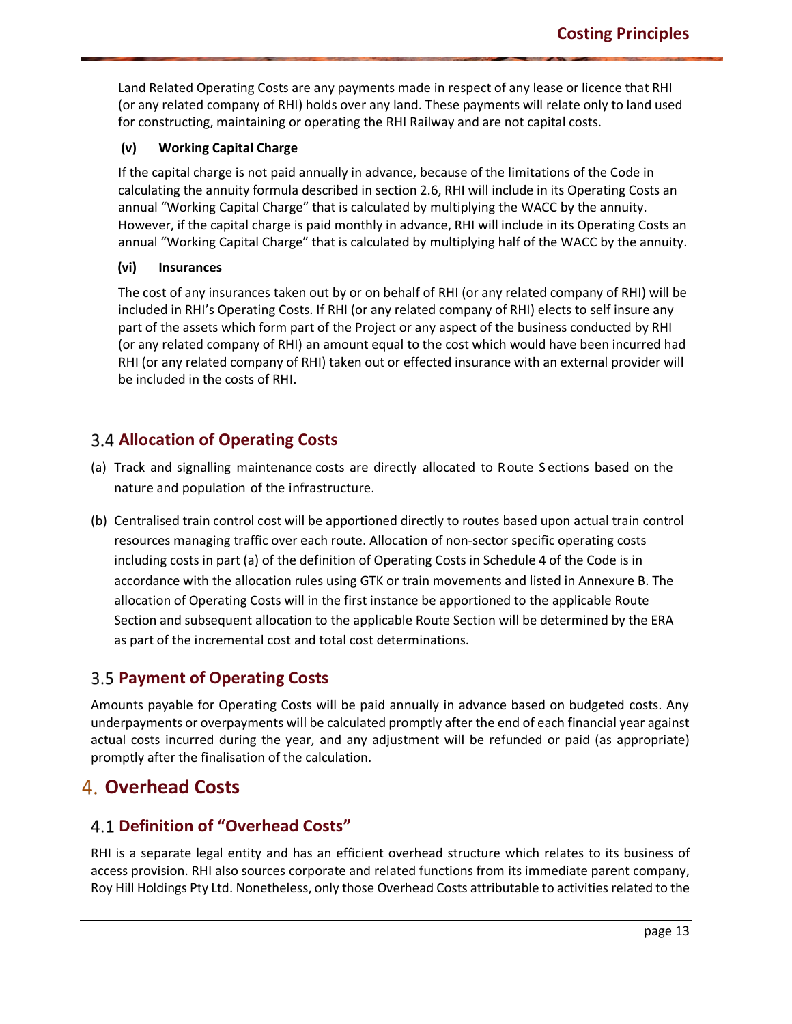Land Related Operating Costs are any payments made in respect of any lease or licence that RHI (or any related company of RHI) holds over any land. These payments will relate only to land used for constructing, maintaining or operating the RHI Railway and are not capital costs.

#### **(v) Working Capital Charge**

If the capital charge is not paid annually in advance, because of the limitations of the Code in calculating the annuity formula described in section 2.6, RHI will include in its Operating Costs an annual "Working Capital Charge" that is calculated by multiplying the WACC by the annuity. However, if the capital charge is paid monthly in advance, RHI will include in its Operating Costs an annual "Working Capital Charge" that is calculated by multiplying half of the WACC by the annuity.

#### **(vi) Insurances**

The cost of any insurances taken out by or on behalf of RHI (or any related company of RHI) will be included in RHI's Operating Costs. If RHI (or any related company of RHI) elects to self insure any part of the assets which form part of the Project or any aspect of the business conducted by RHI (or any related company of RHI) an amount equal to the cost which would have been incurred had RHI (or any related company of RHI) taken out or effected insurance with an external provider will be included in the costs of RHI.

### **Allocation of Operating Costs**

- <span id="page-12-0"></span>(a) Track and signalling maintenance costs are directly allocated to Route S ections based on the nature and population of the infrastructure.
- (b) Centralised train control cost will be apportioned directly to routes based upon actual train control resources managing traffic over each route. Allocation of non-sector specific operating costs including costs in part (a) of the definition of Operating Costs in Schedule 4 of the Code is in accordance with the allocation rules using GTK or train movements and listed in Annexure B. The allocation of Operating Costs will in the first instance be apportioned to the applicable Route Section and subsequent allocation to the applicable Route Section will be determined by the ERA as part of the incremental cost and total cost determinations.

### **Payment of Operating Costs**

<span id="page-12-1"></span>Amounts payable for Operating Costs will be paid annually in advance based on budgeted costs. Any underpayments or overpayments will be calculated promptly after the end of each financial year against actual costs incurred during the year, and any adjustment will be refunded or paid (as appropriate) promptly after the finalisation of the calculation.

# **Overhead Costs**

### **Definition of "Overhead Costs"**

<span id="page-12-3"></span><span id="page-12-2"></span>RHI is a separate legal entity and has an efficient overhead structure which relates to its business of access provision. RHI also sources corporate and related functions from its immediate parent company, Roy Hill Holdings Pty Ltd. Nonetheless, only those Overhead Costs attributable to activities related to the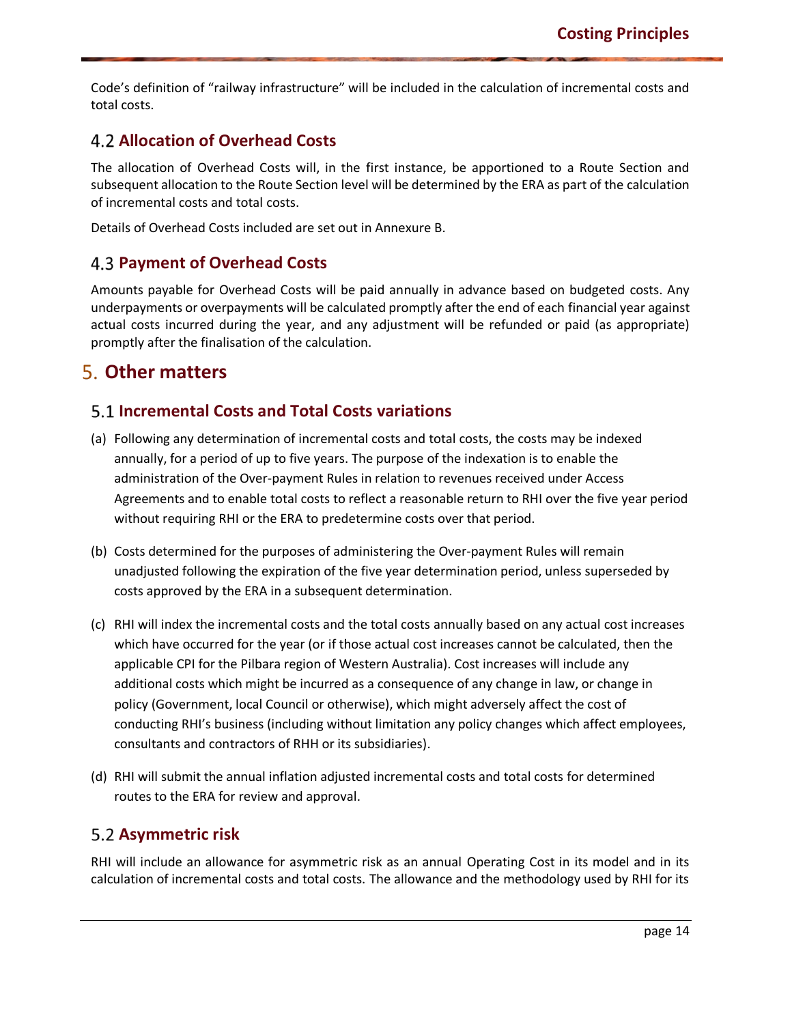Code's definition of "railway infrastructure" will be included in the calculation of incremental costs and total costs.

### **Allocation of Overhead Costs**

<span id="page-13-0"></span>The allocation of Overhead Costs will, in the first instance, be apportioned to a Route Section and subsequent allocation to the Route Section level will be determined by the ERA as part of the calculation of incremental costs and total costs.

Details of Overhead Costs included are set out in Annexure B.

### **Payment of Overhead Costs**

<span id="page-13-1"></span>Amounts payable for Overhead Costs will be paid annually in advance based on budgeted costs. Any underpayments or overpayments will be calculated promptly after the end of each financial year against actual costs incurred during the year, and any adjustment will be refunded or paid (as appropriate) promptly after the finalisation of the calculation.

# **Other matters**

### **Incremental Costs and Total Costs variations**

- <span id="page-13-3"></span><span id="page-13-2"></span>(a) Following any determination of incremental costs and total costs, the costs may be indexed annually, for a period of up to five years. The purpose of the indexation is to enable the administration of the Over-payment Rules in relation to revenues received under Access Agreements and to enable total costs to reflect a reasonable return to RHI over the five year period without requiring RHI or the ERA to predetermine costs over that period.
- (b) Costs determined for the purposes of administering the Over-payment Rules will remain unadjusted following the expiration of the five year determination period, unless superseded by costs approved by the ERA in a subsequent determination.
- (c) RHI will index the incremental costs and the total costs annually based on any actual cost increases which have occurred for the year (or if those actual cost increases cannot be calculated, then the applicable CPI for the Pilbara region of Western Australia). Cost increases will include any additional costs which might be incurred as a consequence of any change in law, or change in policy (Government, local Council or otherwise), which might adversely affect the cost of conducting RHI's business (including without limitation any policy changes which affect employees, consultants and contractors of RHH or its subsidiaries).
- (d) RHI will submit the annual inflation adjusted incremental costs and total costs for determined routes to the ERA for review and approval.

### **Asymmetric risk**

<span id="page-13-4"></span>RHI will include an allowance for asymmetric risk as an annual Operating Cost in its model and in its calculation of incremental costs and total costs. The allowance and the methodology used by RHI for its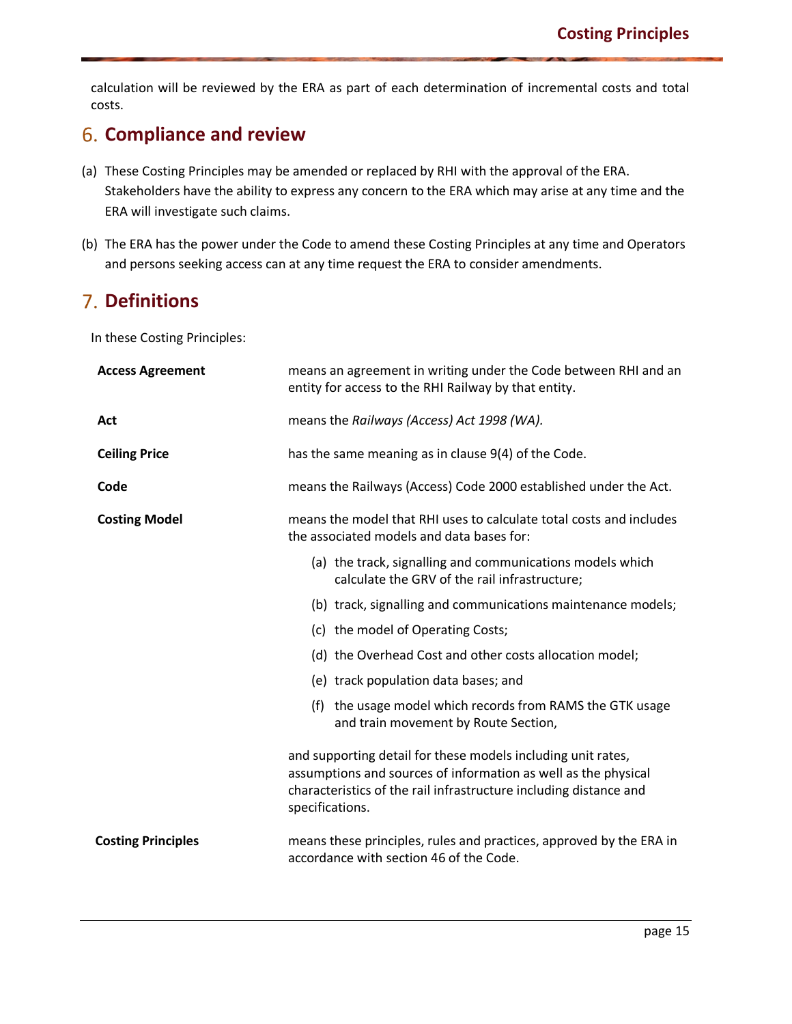calculation will be reviewed by the ERA as part of each determination of incremental costs and total costs.

# **Compliance and review**

- <span id="page-14-0"></span>(a) These Costing Principles may be amended or replaced by RHI with the approval of the ERA. Stakeholders have the ability to express any concern to the ERA which may arise at any time and the ERA will investigate such claims.
- (b) The ERA has the power under the Code to amend these Costing Principles at any time and Operators and persons seeking access can at any time request the ERA to consider amendments.

# **Definitions**

In these Costing Principles:

<span id="page-14-1"></span>

| <b>Access Agreement</b>   | means an agreement in writing under the Code between RHI and an<br>entity for access to the RHI Railway by that entity.                                                                                                |  |
|---------------------------|------------------------------------------------------------------------------------------------------------------------------------------------------------------------------------------------------------------------|--|
| Act                       | means the Railways (Access) Act 1998 (WA).                                                                                                                                                                             |  |
| <b>Ceiling Price</b>      | has the same meaning as in clause 9(4) of the Code.                                                                                                                                                                    |  |
| Code                      | means the Railways (Access) Code 2000 established under the Act.                                                                                                                                                       |  |
| <b>Costing Model</b>      | means the model that RHI uses to calculate total costs and includes<br>the associated models and data bases for:                                                                                                       |  |
|                           | (a) the track, signalling and communications models which<br>calculate the GRV of the rail infrastructure;                                                                                                             |  |
|                           | (b) track, signalling and communications maintenance models;                                                                                                                                                           |  |
|                           | (c) the model of Operating Costs;                                                                                                                                                                                      |  |
|                           | (d) the Overhead Cost and other costs allocation model;                                                                                                                                                                |  |
|                           | (e) track population data bases; and                                                                                                                                                                                   |  |
|                           | (f) the usage model which records from RAMS the GTK usage<br>and train movement by Route Section,                                                                                                                      |  |
|                           | and supporting detail for these models including unit rates,<br>assumptions and sources of information as well as the physical<br>characteristics of the rail infrastructure including distance and<br>specifications. |  |
| <b>Costing Principles</b> | means these principles, rules and practices, approved by the ERA in<br>accordance with section 46 of the Code.                                                                                                         |  |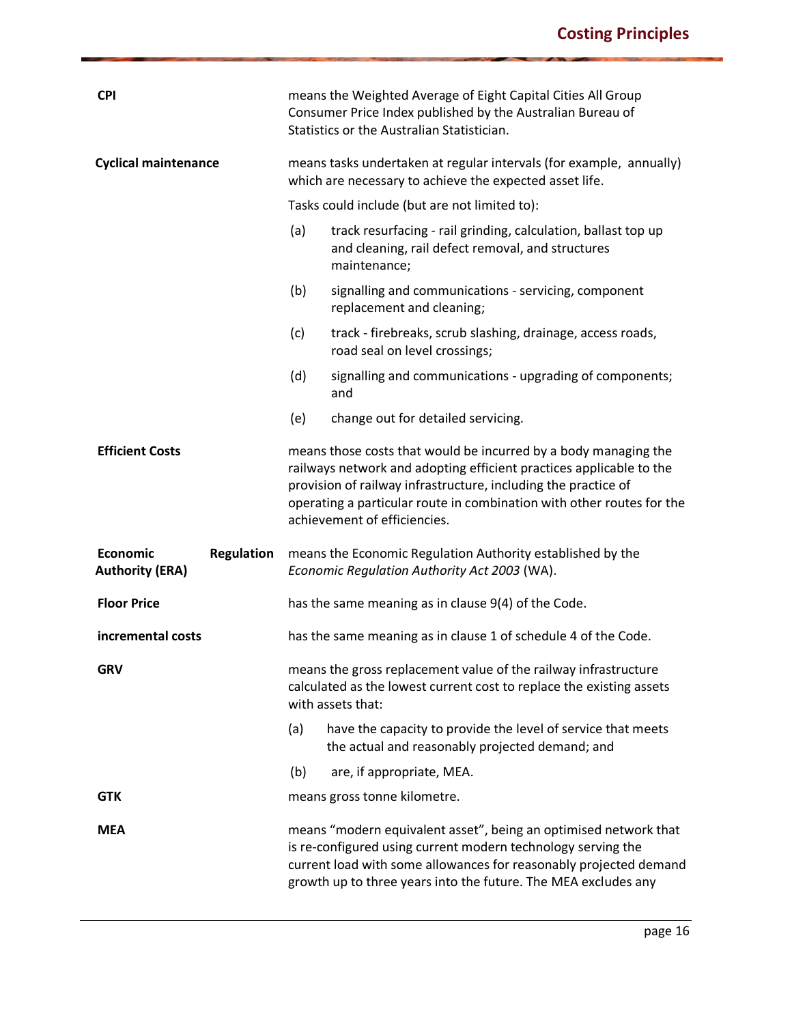| <b>CPI</b>                                                     | means the Weighted Average of Eight Capital Cities All Group<br>Consumer Price Index published by the Australian Bureau of<br>Statistics or the Australian Statistician. |                                                                                                                                                                                                                                                                                                                   |  |  |  |
|----------------------------------------------------------------|--------------------------------------------------------------------------------------------------------------------------------------------------------------------------|-------------------------------------------------------------------------------------------------------------------------------------------------------------------------------------------------------------------------------------------------------------------------------------------------------------------|--|--|--|
| <b>Cyclical maintenance</b>                                    | means tasks undertaken at regular intervals (for example, annually)<br>which are necessary to achieve the expected asset life.                                           |                                                                                                                                                                                                                                                                                                                   |  |  |  |
|                                                                |                                                                                                                                                                          | Tasks could include (but are not limited to):                                                                                                                                                                                                                                                                     |  |  |  |
|                                                                | (a)                                                                                                                                                                      | track resurfacing - rail grinding, calculation, ballast top up<br>and cleaning, rail defect removal, and structures<br>maintenance;                                                                                                                                                                               |  |  |  |
|                                                                | (b)                                                                                                                                                                      | signalling and communications - servicing, component<br>replacement and cleaning;                                                                                                                                                                                                                                 |  |  |  |
|                                                                | (c)                                                                                                                                                                      | track - firebreaks, scrub slashing, drainage, access roads,<br>road seal on level crossings;                                                                                                                                                                                                                      |  |  |  |
|                                                                | (d)                                                                                                                                                                      | signalling and communications - upgrading of components;<br>and                                                                                                                                                                                                                                                   |  |  |  |
|                                                                | (e)                                                                                                                                                                      | change out for detailed servicing.                                                                                                                                                                                                                                                                                |  |  |  |
| <b>Efficient Costs</b>                                         |                                                                                                                                                                          | means those costs that would be incurred by a body managing the<br>railways network and adopting efficient practices applicable to the<br>provision of railway infrastructure, including the practice of<br>operating a particular route in combination with other routes for the<br>achievement of efficiencies. |  |  |  |
| <b>Economic</b><br><b>Regulation</b><br><b>Authority (ERA)</b> |                                                                                                                                                                          | means the Economic Regulation Authority established by the<br>Economic Regulation Authority Act 2003 (WA).                                                                                                                                                                                                        |  |  |  |
| <b>Floor Price</b>                                             |                                                                                                                                                                          | has the same meaning as in clause 9(4) of the Code.                                                                                                                                                                                                                                                               |  |  |  |
| incremental costs                                              |                                                                                                                                                                          | has the same meaning as in clause 1 of schedule 4 of the Code.                                                                                                                                                                                                                                                    |  |  |  |
| <b>GRV</b>                                                     |                                                                                                                                                                          | means the gross replacement value of the railway infrastructure<br>calculated as the lowest current cost to replace the existing assets<br>with assets that:                                                                                                                                                      |  |  |  |
|                                                                | (a)                                                                                                                                                                      | have the capacity to provide the level of service that meets<br>the actual and reasonably projected demand; and                                                                                                                                                                                                   |  |  |  |
|                                                                | (b)                                                                                                                                                                      | are, if appropriate, MEA.                                                                                                                                                                                                                                                                                         |  |  |  |
| <b>GTK</b>                                                     |                                                                                                                                                                          | means gross tonne kilometre.                                                                                                                                                                                                                                                                                      |  |  |  |
| <b>MEA</b>                                                     |                                                                                                                                                                          | means "modern equivalent asset", being an optimised network that<br>is re-configured using current modern technology serving the<br>current load with some allowances for reasonably projected demand<br>growth up to three years into the future. The MEA excludes any                                           |  |  |  |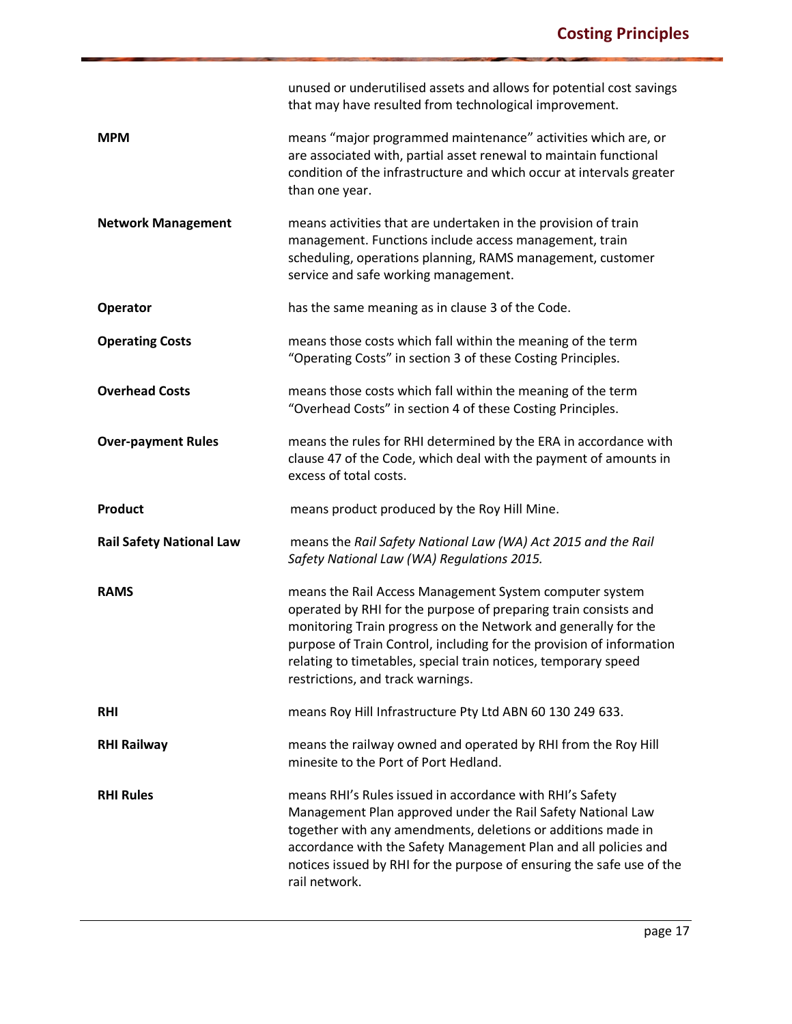|                                 | unused or underutilised assets and allows for potential cost savings<br>that may have resulted from technological improvement.                                                                                                                                                                                                                                              |
|---------------------------------|-----------------------------------------------------------------------------------------------------------------------------------------------------------------------------------------------------------------------------------------------------------------------------------------------------------------------------------------------------------------------------|
| <b>MPM</b>                      | means "major programmed maintenance" activities which are, or<br>are associated with, partial asset renewal to maintain functional<br>condition of the infrastructure and which occur at intervals greater<br>than one year.                                                                                                                                                |
| <b>Network Management</b>       | means activities that are undertaken in the provision of train<br>management. Functions include access management, train<br>scheduling, operations planning, RAMS management, customer<br>service and safe working management.                                                                                                                                              |
| <b>Operator</b>                 | has the same meaning as in clause 3 of the Code.                                                                                                                                                                                                                                                                                                                            |
| <b>Operating Costs</b>          | means those costs which fall within the meaning of the term<br>"Operating Costs" in section 3 of these Costing Principles.                                                                                                                                                                                                                                                  |
| <b>Overhead Costs</b>           | means those costs which fall within the meaning of the term<br>"Overhead Costs" in section 4 of these Costing Principles.                                                                                                                                                                                                                                                   |
| <b>Over-payment Rules</b>       | means the rules for RHI determined by the ERA in accordance with<br>clause 47 of the Code, which deal with the payment of amounts in<br>excess of total costs.                                                                                                                                                                                                              |
| <b>Product</b>                  | means product produced by the Roy Hill Mine.                                                                                                                                                                                                                                                                                                                                |
|                                 |                                                                                                                                                                                                                                                                                                                                                                             |
| <b>Rail Safety National Law</b> | means the Rail Safety National Law (WA) Act 2015 and the Rail<br>Safety National Law (WA) Regulations 2015.                                                                                                                                                                                                                                                                 |
| <b>RAMS</b>                     | means the Rail Access Management System computer system<br>operated by RHI for the purpose of preparing train consists and<br>monitoring Train progress on the Network and generally for the<br>purpose of Train Control, including for the provision of information<br>relating to timetables, special train notices, temporary speed<br>restrictions, and track warnings. |
| <b>RHI</b>                      | means Roy Hill Infrastructure Pty Ltd ABN 60 130 249 633.                                                                                                                                                                                                                                                                                                                   |
| <b>RHI Railway</b>              | means the railway owned and operated by RHI from the Roy Hill<br>minesite to the Port of Port Hedland.                                                                                                                                                                                                                                                                      |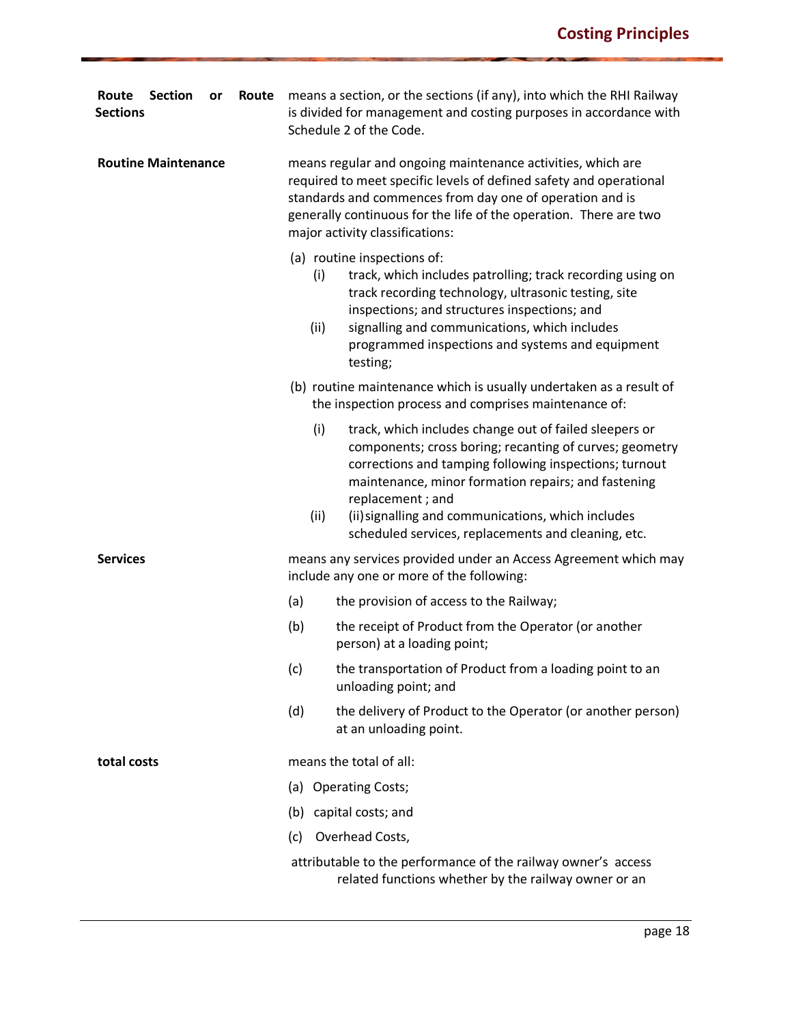| <b>Section</b><br>Route<br>Route<br>or<br><b>Sections</b> | means a section, or the sections (if any), into which the RHI Railway<br>is divided for management and costing purposes in accordance with<br>Schedule 2 of the Code.                                                                                                                                                                                                              |  |  |
|-----------------------------------------------------------|------------------------------------------------------------------------------------------------------------------------------------------------------------------------------------------------------------------------------------------------------------------------------------------------------------------------------------------------------------------------------------|--|--|
| <b>Routine Maintenance</b>                                | means regular and ongoing maintenance activities, which are<br>required to meet specific levels of defined safety and operational<br>standards and commences from day one of operation and is<br>generally continuous for the life of the operation. There are two<br>major activity classifications:                                                                              |  |  |
|                                                           | (a) routine inspections of:<br>(i)<br>track, which includes patrolling; track recording using on<br>track recording technology, ultrasonic testing, site<br>inspections; and structures inspections; and<br>signalling and communications, which includes<br>(ii)<br>programmed inspections and systems and equipment<br>testing;                                                  |  |  |
|                                                           | (b) routine maintenance which is usually undertaken as a result of<br>the inspection process and comprises maintenance of:                                                                                                                                                                                                                                                         |  |  |
|                                                           | (i)<br>track, which includes change out of failed sleepers or<br>components; cross boring; recanting of curves; geometry<br>corrections and tamping following inspections; turnout<br>maintenance, minor formation repairs; and fastening<br>replacement; and<br>(ii) signalling and communications, which includes<br>(ii)<br>scheduled services, replacements and cleaning, etc. |  |  |
| <b>Services</b>                                           | means any services provided under an Access Agreement which may<br>include any one or more of the following:                                                                                                                                                                                                                                                                       |  |  |
|                                                           | (a)<br>the provision of access to the Railway;                                                                                                                                                                                                                                                                                                                                     |  |  |
|                                                           | (b)<br>the receipt of Product from the Operator (or another<br>person) at a loading point;                                                                                                                                                                                                                                                                                         |  |  |
|                                                           | the transportation of Product from a loading point to an<br>(c)<br>unloading point; and                                                                                                                                                                                                                                                                                            |  |  |
|                                                           | (d)<br>the delivery of Product to the Operator (or another person)<br>at an unloading point.                                                                                                                                                                                                                                                                                       |  |  |
| total costs                                               | means the total of all:                                                                                                                                                                                                                                                                                                                                                            |  |  |
|                                                           | (a) Operating Costs;                                                                                                                                                                                                                                                                                                                                                               |  |  |
|                                                           | (b) capital costs; and                                                                                                                                                                                                                                                                                                                                                             |  |  |
|                                                           | Overhead Costs,<br>(c)                                                                                                                                                                                                                                                                                                                                                             |  |  |
|                                                           | attributable to the performance of the railway owner's access<br>related functions whether by the railway owner or an                                                                                                                                                                                                                                                              |  |  |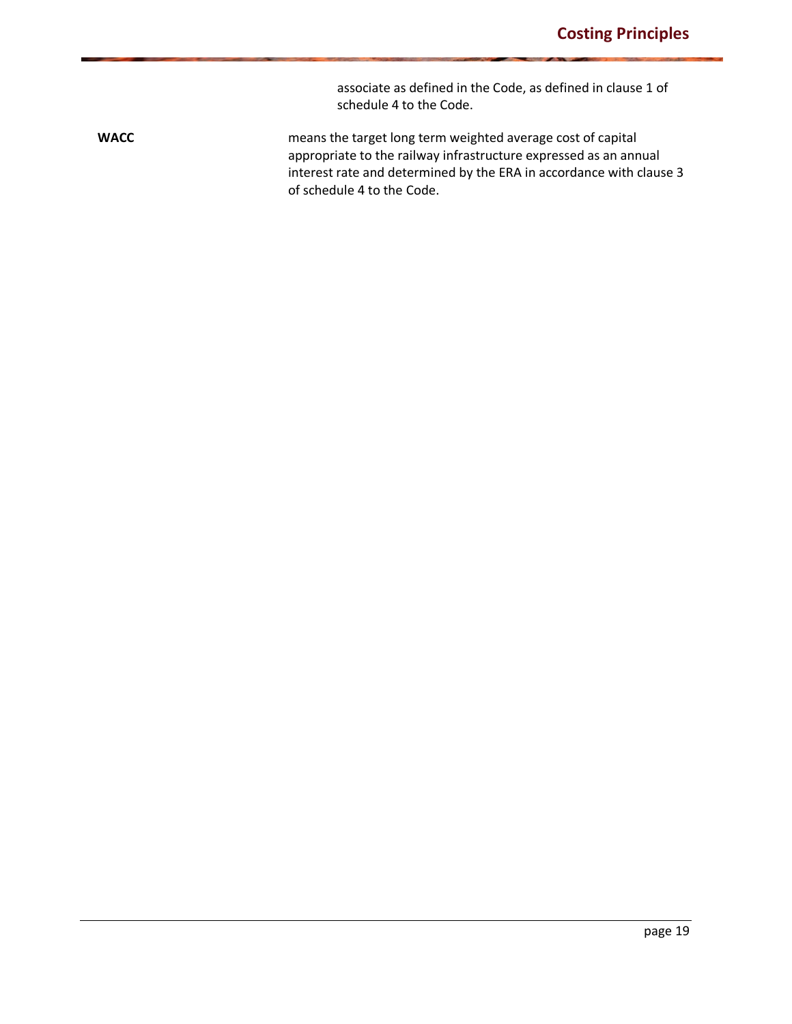associate as defined in the Code, as defined in clause 1 of schedule 4 to the Code.

**WACC MACC** means the target long term weighted average cost of capital appropriate to the railway infrastructure expressed as an annual interest rate and determined by the ERA in accordance with clause 3 of schedule 4 to the Code.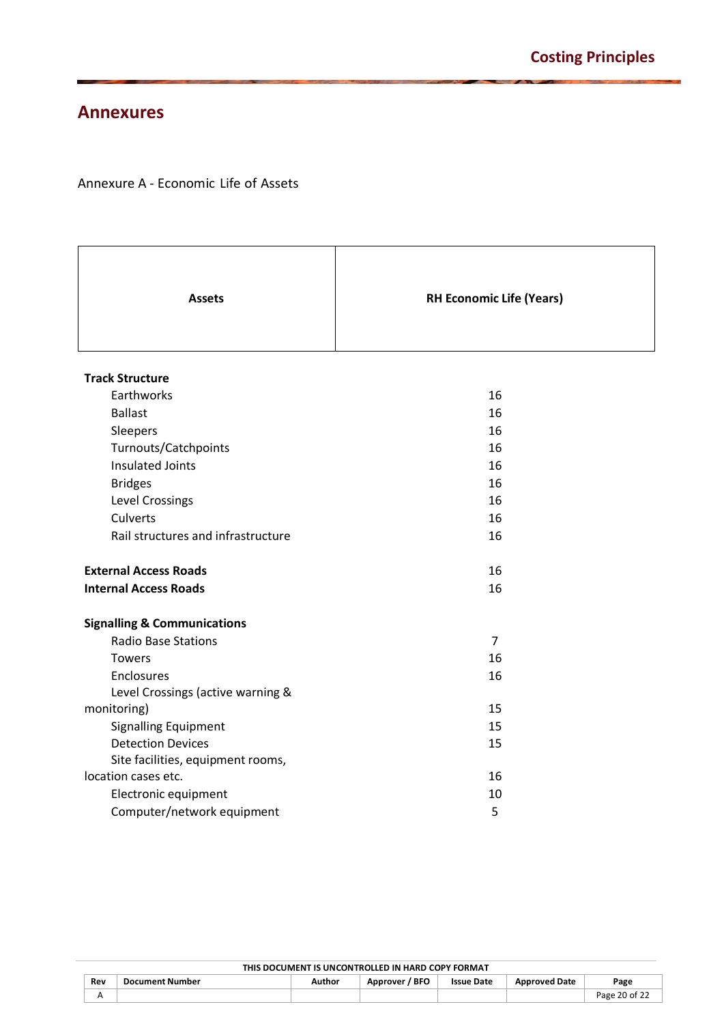### <span id="page-19-0"></span>**Annexures**

### Annexure A - Economic Life of Assets

| <b>Assets</b>                          | <b>RH Economic Life (Years)</b> |
|----------------------------------------|---------------------------------|
| <b>Track Structure</b>                 |                                 |
| Earthworks                             | 16                              |
| <b>Ballast</b>                         | 16                              |
| Sleepers                               | 16                              |
| Turnouts/Catchpoints                   | 16                              |
| <b>Insulated Joints</b>                | 16                              |
| <b>Bridges</b>                         | 16                              |
| Level Crossings                        | 16                              |
| <b>Culverts</b>                        | 16                              |
| Rail structures and infrastructure     | 16                              |
| <b>External Access Roads</b>           | 16                              |
| <b>Internal Access Roads</b>           | 16                              |
| <b>Signalling &amp; Communications</b> |                                 |
| Radio Base Stations                    | $\overline{7}$                  |
| <b>Towers</b>                          | 16                              |
| Enclosures                             | 16                              |
| Level Crossings (active warning &      |                                 |
| monitoring)                            | 15                              |
| <b>Signalling Equipment</b>            | 15                              |
| <b>Detection Devices</b>               | 15                              |
| Site facilities, equipment rooms,      |                                 |
| location cases etc.                    | 16                              |
| Electronic equipment                   | 10                              |
| Computer/network equipment             | 5                               |

| THIS DOCUMENT IS UNCONTROLLED IN HARD COPY FORMAT |                                                                                                         |  |  |  |  |               |  |
|---------------------------------------------------|---------------------------------------------------------------------------------------------------------|--|--|--|--|---------------|--|
| Rev                                               | Approver / BFO<br><b>Document Number</b><br>Author<br><b>Issue Date</b><br><b>Approved Date</b><br>Page |  |  |  |  |               |  |
|                                                   |                                                                                                         |  |  |  |  | Page 20 of 22 |  |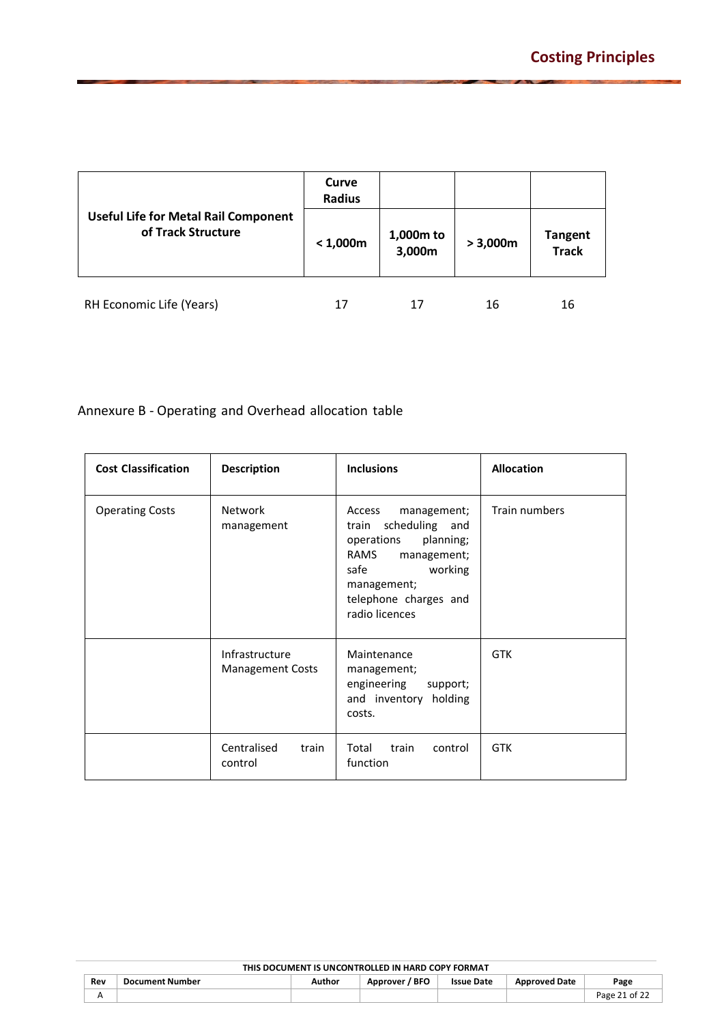|                                                                   | Curve<br><b>Radius</b> |                     |          |                                |
|-------------------------------------------------------------------|------------------------|---------------------|----------|--------------------------------|
| <b>Useful Life for Metal Rail Component</b><br>of Track Structure | < 1,000m               | 1,000m to<br>3,000m | > 3,000m | <b>Tangent</b><br><b>Track</b> |
| RH Economic Life (Years)                                          | 17                     | 17                  | 16       | 16                             |

Annexure B - Operating and Overhead allocation table

| <b>Cost Classification</b> | <b>Description</b>                        | <b>Inclusions</b>                                                                                                                                                                  | <b>Allocation</b> |  |
|----------------------------|-------------------------------------------|------------------------------------------------------------------------------------------------------------------------------------------------------------------------------------|-------------------|--|
| <b>Operating Costs</b>     | <b>Network</b><br>management              | Access<br>management;<br>scheduling<br>and<br>train<br>operations<br>planning;<br>RAMS<br>management;<br>safe<br>working<br>management;<br>telephone charges and<br>radio licences | Train numbers     |  |
|                            | Infrastructure<br><b>Management Costs</b> | Maintenance<br>management;<br>engineering<br>support;<br>and inventory<br>holding<br>costs.                                                                                        | <b>GTK</b>        |  |
|                            | Centralised<br>train<br>control           | Total<br>train<br>control<br>function                                                                                                                                              | <b>GTK</b>        |  |

| THIS DOCUMENT IS UNCONTROLLED IN HARD COPY FORMAT |                        |        |                     |                   |                      |               |  |  |
|---------------------------------------------------|------------------------|--------|---------------------|-------------------|----------------------|---------------|--|--|
| Rev                                               | <b>Document Number</b> | Author | / BFO<br>Approver / | <b>Issue Date</b> | <b>Approved Date</b> | Page          |  |  |
|                                                   |                        |        |                     |                   |                      | Page 21 of 22 |  |  |